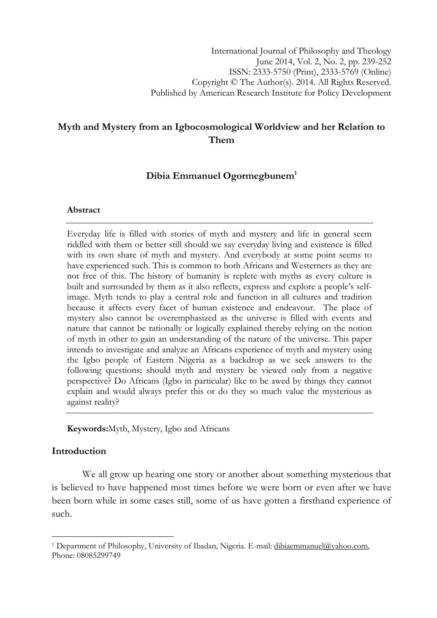# Myth and Mystery from an Igbocosmological Worldview and her Relation to Them

# Dibia Emmanuel Ogormegbunem<sup>1</sup>

### Abstract

Everyday life is filled with stories of myth and mystery and life in general seem riddled with them or better still should we say everyday living and existence is filled with its own share of myth and mystery. And everybody at some point seems to have experienced such. This is common to both Africans and Westerners as they are not free of this. The history of humanity is replete with myths as every culture is built and surrounded by them as it also reflects, express and explore a people's selfimage. Myth tends to play a central role and function in all cultures and tradition because it affects every facet of human existence and endeavour. The place of mystery also cannot be overemphasized as the universe is filled with events and nature that cannot be rationally or logically explained thereby relying on the notion of myth in other to gain an understanding of the nature of the universe. This paper intends to investigate and analyze an Africans experience of myth and mystery using the Igbo people of Eastern Nigeria as a backdrop as we seek answers to the following questions; should myth and mystery be viewed only from a negative perspective? Do Africans (Igbo in particular) like to be awed by things they cannot explain and would always prefer this or do they so much value the mysterious as against reality?

Keywords:Myth, Mystery, Igbo and Africans

# Introduction

l

We all grow up hearing one story or another about something mysterious that is believed to have happened most times before we were born or even after we have been born while in some cases still, some of us have gotten a firsthand experience of such.

<sup>&</sup>lt;sup>1</sup> Department of Philosophy, University of Ibadan, Nigeria. E-mail: dibiaemmanuel@yahoo.com, Phone: 08085299749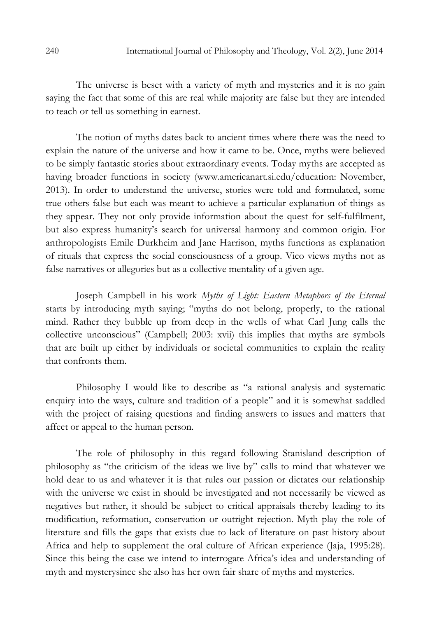The universe is beset with a variety of myth and mysteries and it is no gain saying the fact that some of this are real while majority are false but they are intended to teach or tell us something in earnest.

The notion of myths dates back to ancient times where there was the need to explain the nature of the universe and how it came to be. Once, myths were believed to be simply fantastic stories about extraordinary events. Today myths are accepted as having broader functions in society (www.americanart.si.edu/education: November, 2013). In order to understand the universe, stories were told and formulated, some true others false but each was meant to achieve a particular explanation of things as they appear. They not only provide information about the quest for self-fulfilment, but also express humanity's search for universal harmony and common origin. For anthropologists Emile Durkheim and Jane Harrison, myths functions as explanation of rituals that express the social consciousness of a group. Vico views myths not as false narratives or allegories but as a collective mentality of a given age.

Joseph Campbell in his work Myths of Light: Eastern Metaphors of the Eternal starts by introducing myth saying; "myths do not belong, properly, to the rational mind. Rather they bubble up from deep in the wells of what Carl Jung calls the collective unconscious" (Campbell; 2003: xvii) this implies that myths are symbols that are built up either by individuals or societal communities to explain the reality that confronts them.

Philosophy I would like to describe as "a rational analysis and systematic enquiry into the ways, culture and tradition of a people" and it is somewhat saddled with the project of raising questions and finding answers to issues and matters that affect or appeal to the human person.

The role of philosophy in this regard following Stanisland description of philosophy as "the criticism of the ideas we live by" calls to mind that whatever we hold dear to us and whatever it is that rules our passion or dictates our relationship with the universe we exist in should be investigated and not necessarily be viewed as negatives but rather, it should be subject to critical appraisals thereby leading to its modification, reformation, conservation or outright rejection. Myth play the role of literature and fills the gaps that exists due to lack of literature on past history about Africa and help to supplement the oral culture of African experience (Jaja, 1995:28). Since this being the case we intend to interrogate Africa's idea and understanding of myth and mysterysince she also has her own fair share of myths and mysteries.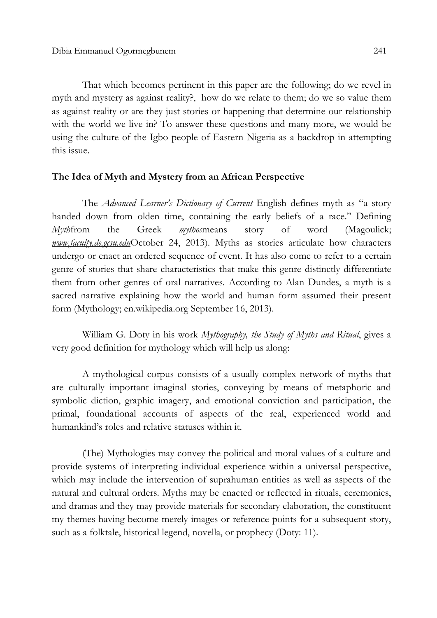That which becomes pertinent in this paper are the following; do we revel in myth and mystery as against reality?, how do we relate to them; do we so value them as against reality or are they just stories or happening that determine our relationship with the world we live in? To answer these questions and many more, we would be using the culture of the Igbo people of Eastern Nigeria as a backdrop in attempting this issue.

### The Idea of Myth and Mystery from an African Perspective

The Advanced Learner's Dictionary of Current English defines myth as "a story handed down from olden time, containing the early beliefs of a race." Defining Mythfrom the Greek mythosmeans story of word (Magoulick; www.faculty.de.gcsu.eduOctober 24, 2013). Myths as stories articulate how characters undergo or enact an ordered sequence of event. It has also come to refer to a certain genre of stories that share characteristics that make this genre distinctly differentiate them from other genres of oral narratives. According to Alan Dundes, a myth is a sacred narrative explaining how the world and human form assumed their present form (Mythology; en.wikipedia.org September 16, 2013).

William G. Doty in his work *Mythography, the Study of Myths and Ritual*, gives a very good definition for mythology which will help us along:

A mythological corpus consists of a usually complex network of myths that are culturally important imaginal stories, conveying by means of metaphoric and symbolic diction, graphic imagery, and emotional conviction and participation, the primal, foundational accounts of aspects of the real, experienced world and humankind's roles and relative statuses within it.

(The) Mythologies may convey the political and moral values of a culture and provide systems of interpreting individual experience within a universal perspective, which may include the intervention of suprahuman entities as well as aspects of the natural and cultural orders. Myths may be enacted or reflected in rituals, ceremonies, and dramas and they may provide materials for secondary elaboration, the constituent my themes having become merely images or reference points for a subsequent story, such as a folktale, historical legend, novella, or prophecy (Doty: 11).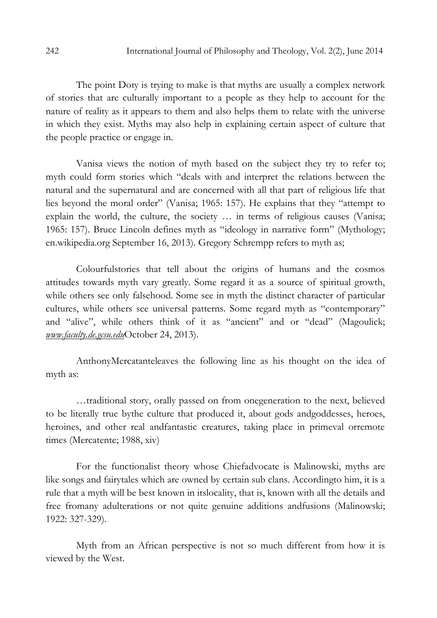The point Doty is trying to make is that myths are usually a complex network of stories that are culturally important to a people as they help to account for the nature of reality as it appears to them and also helps them to relate with the universe in which they exist. Myths may also help in explaining certain aspect of culture that the people practice or engage in.

Vanisa views the notion of myth based on the subject they try to refer to; myth could form stories which "deals with and interpret the relations between the natural and the supernatural and are concerned with all that part of religious life that lies beyond the moral order" (Vanisa; 1965: 157). He explains that they "attempt to explain the world, the culture, the society … in terms of religious causes (Vanisa; 1965: 157). Bruce Lincoln defines myth as "ideology in narrative form" (Mythology; en.wikipedia.org September 16, 2013). Gregory Schrempp refers to myth as;

Colourfulstories that tell about the origins of humans and the cosmos attitudes towards myth vary greatly. Some regard it as a source of spiritual growth, while others see only falsehood. Some see in myth the distinct character of particular cultures, while others see universal patterns. Some regard myth as "contemporary" and "alive", while others think of it as "ancient" and or "dead" (Magoulick; www.faculty.de.gcsu.eduOctober 24, 2013).

AnthonyMercatanteleaves the following line as his thought on the idea of myth as:

…traditional story, orally passed on from onegeneration to the next, believed to be literally true bythe culture that produced it, about gods andgoddesses, heroes, heroines, and other real andfantastic creatures, taking place in primeval orremote times (Mercatente; 1988, xiv)

For the functionalist theory whose Chiefadvocate is Malinowski, myths are like songs and fairytales which are owned by certain sub clans. Accordingto him, it is a rule that a myth will be best known in itslocality, that is, known with all the details and free fromany adulterations or not quite genuine additions andfusions (Malinowski; 1922: 327-329).

Myth from an African perspective is not so much different from how it is viewed by the West.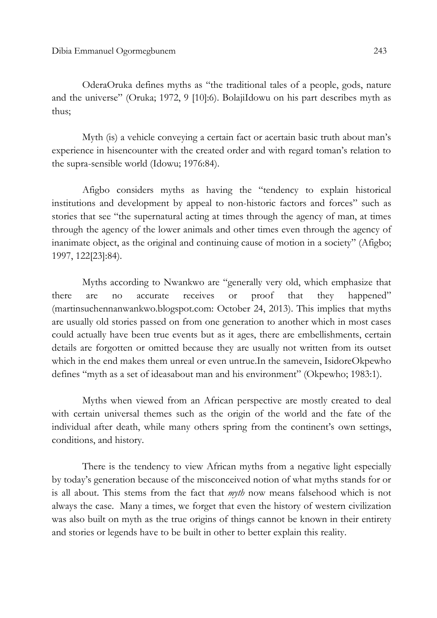OderaOruka defines myths as "the traditional tales of a people, gods, nature and the universe" (Oruka; 1972, 9 [10]:6). BolajiIdowu on his part describes myth as thus;

Myth (is) a vehicle conveying a certain fact or acertain basic truth about man's experience in hisencounter with the created order and with regard toman's relation to the supra-sensible world (Idowu; 1976:84).

Afigbo considers myths as having the "tendency to explain historical institutions and development by appeal to non-historic factors and forces" such as stories that see "the supernatural acting at times through the agency of man, at times through the agency of the lower animals and other times even through the agency of inanimate object, as the original and continuing cause of motion in a society" (Afigbo; 1997, 122[23]:84).

Myths according to Nwankwo are "generally very old, which emphasize that there are no accurate receives or proof that they happened" (martinsuchennanwankwo.blogspot.com: October 24, 2013). This implies that myths are usually old stories passed on from one generation to another which in most cases could actually have been true events but as it ages, there are embellishments, certain details are forgotten or omitted because they are usually not written from its outset which in the end makes them unreal or even untrue.In the samevein, IsidoreOkpewho defines "myth as a set of ideasabout man and his environment" (Okpewho; 1983:1).

Myths when viewed from an African perspective are mostly created to deal with certain universal themes such as the origin of the world and the fate of the individual after death, while many others spring from the continent's own settings, conditions, and history.

There is the tendency to view African myths from a negative light especially by today's generation because of the misconceived notion of what myths stands for or is all about. This stems from the fact that myth now means falsehood which is not always the case. Many a times, we forget that even the history of western civilization was also built on myth as the true origins of things cannot be known in their entirety and stories or legends have to be built in other to better explain this reality.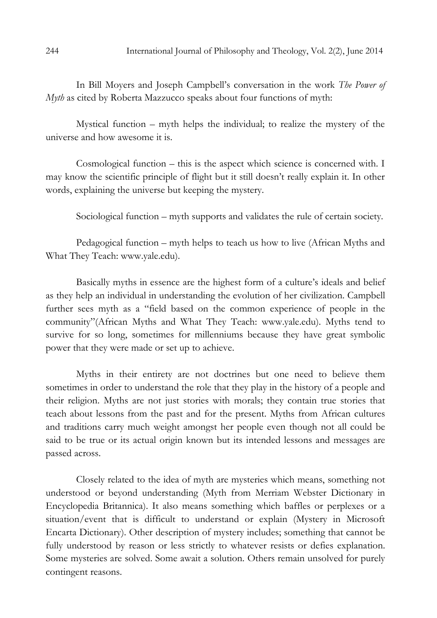In Bill Moyers and Joseph Campbell's conversation in the work The Power of Myth as cited by Roberta Mazzucco speaks about four functions of myth:

Mystical function – myth helps the individual; to realize the mystery of the universe and how awesome it is.

Cosmological function – this is the aspect which science is concerned with. I may know the scientific principle of flight but it still doesn't really explain it. In other words, explaining the universe but keeping the mystery.

Sociological function – myth supports and validates the rule of certain society.

Pedagogical function – myth helps to teach us how to live (African Myths and What They Teach: www.yale.edu).

Basically myths in essence are the highest form of a culture's ideals and belief as they help an individual in understanding the evolution of her civilization. Campbell further sees myth as a "field based on the common experience of people in the community"(African Myths and What They Teach: www.yale.edu). Myths tend to survive for so long, sometimes for millenniums because they have great symbolic power that they were made or set up to achieve.

Myths in their entirety are not doctrines but one need to believe them sometimes in order to understand the role that they play in the history of a people and their religion. Myths are not just stories with morals; they contain true stories that teach about lessons from the past and for the present. Myths from African cultures and traditions carry much weight amongst her people even though not all could be said to be true or its actual origin known but its intended lessons and messages are passed across.

Closely related to the idea of myth are mysteries which means, something not understood or beyond understanding (Myth from Merriam Webster Dictionary in Encyclopedia Britannica). It also means something which baffles or perplexes or a situation/event that is difficult to understand or explain (Mystery in Microsoft Encarta Dictionary). Other description of mystery includes; something that cannot be fully understood by reason or less strictly to whatever resists or defies explanation. Some mysteries are solved. Some await a solution. Others remain unsolved for purely contingent reasons.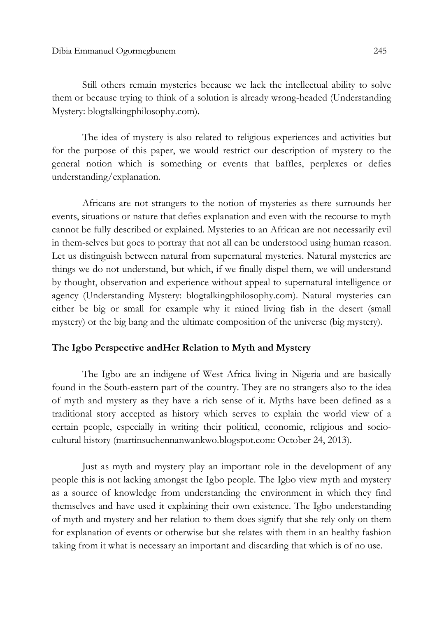Still others remain mysteries because we lack the intellectual ability to solve them or because trying to think of a solution is already wrong-headed (Understanding Mystery: blogtalkingphilosophy.com).

The idea of mystery is also related to religious experiences and activities but for the purpose of this paper, we would restrict our description of mystery to the general notion which is something or events that baffles, perplexes or defies understanding/explanation.

Africans are not strangers to the notion of mysteries as there surrounds her events, situations or nature that defies explanation and even with the recourse to myth cannot be fully described or explained. Mysteries to an African are not necessarily evil in them-selves but goes to portray that not all can be understood using human reason. Let us distinguish between natural from supernatural mysteries. Natural mysteries are things we do not understand, but which, if we finally dispel them, we will understand by thought, observation and experience without appeal to supernatural intelligence or agency (Understanding Mystery: blogtalkingphilosophy.com). Natural mysteries can either be big or small for example why it rained living fish in the desert (small mystery) or the big bang and the ultimate composition of the universe (big mystery).

#### The Igbo Perspective andHer Relation to Myth and Mystery

The Igbo are an indigene of West Africa living in Nigeria and are basically found in the South-eastern part of the country. They are no strangers also to the idea of myth and mystery as they have a rich sense of it. Myths have been defined as a traditional story accepted as history which serves to explain the world view of a certain people, especially in writing their political, economic, religious and sociocultural history (martinsuchennanwankwo.blogspot.com: October 24, 2013).

Just as myth and mystery play an important role in the development of any people this is not lacking amongst the Igbo people. The Igbo view myth and mystery as a source of knowledge from understanding the environment in which they find themselves and have used it explaining their own existence. The Igbo understanding of myth and mystery and her relation to them does signify that she rely only on them for explanation of events or otherwise but she relates with them in an healthy fashion taking from it what is necessary an important and discarding that which is of no use.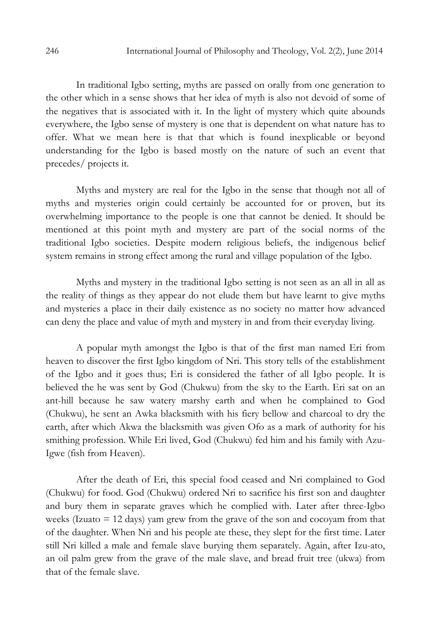In traditional Igbo setting, myths are passed on orally from one generation to the other which in a sense shows that her idea of myth is also not devoid of some of the negatives that is associated with it. In the light of mystery which quite abounds everywhere, the Igbo sense of mystery is one that is dependent on what nature has to offer. What we mean here is that that which is found inexplicable or beyond understanding for the Igbo is based mostly on the nature of such an event that precedes/ projects it.

Myths and mystery are real for the Igbo in the sense that though not all of myths and mysteries origin could certainly be accounted for or proven, but its overwhelming importance to the people is one that cannot be denied. It should be mentioned at this point myth and mystery are part of the social norms of the traditional Igbo societies. Despite modern religious beliefs, the indigenous belief system remains in strong effect among the rural and village population of the Igbo.

Myths and mystery in the traditional Igbo setting is not seen as an all in all as the reality of things as they appear do not elude them but have learnt to give myths and mysteries a place in their daily existence as no society no matter how advanced can deny the place and value of myth and mystery in and from their everyday living.

A popular myth amongst the Igbo is that of the first man named Eri from heaven to discover the first Igbo kingdom of Nri. This story tells of the establishment of the Igbo and it goes thus; Eri is considered the father of all Igbo people. It is believed the he was sent by God (Chukwu) from the sky to the Earth. Eri sat on an ant-hill because he saw watery marshy earth and when he complained to God (Chukwu), he sent an Awka blacksmith with his fiery bellow and charcoal to dry the earth, after which Akwa the blacksmith was given Ofo as a mark of authority for his smithing profession. While Eri lived, God (Chukwu) fed him and his family with Azu-Igwe (fish from Heaven).

After the death of Eri, this special food ceased and Nri complained to God (Chukwu) for food. God (Chukwu) ordered Nri to sacrifice his first son and daughter and bury them in separate graves which he complied with. Later after three-Igbo weeks (Izuato = 12 days) yam grew from the grave of the son and cocoyam from that of the daughter. When Nri and his people ate these, they slept for the first time. Later still Nri killed a male and female slave burying them separately. Again, after Izu-ato, an oil palm grew from the grave of the male slave, and bread fruit tree (ukwa) from that of the female slave.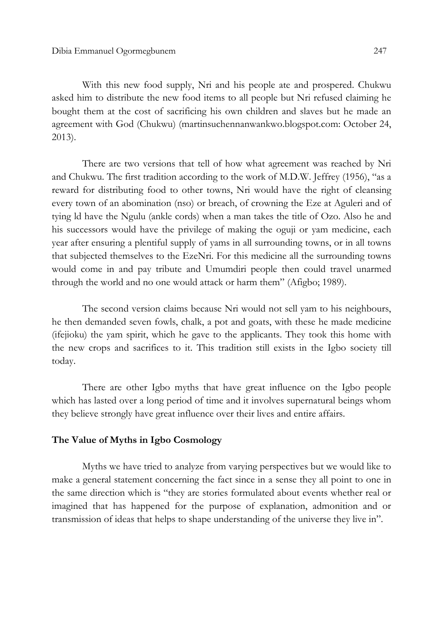With this new food supply, Nri and his people ate and prospered. Chukwu asked him to distribute the new food items to all people but Nri refused claiming he bought them at the cost of sacrificing his own children and slaves but he made an agreement with God (Chukwu) (martinsuchennanwankwo.blogspot.com: October 24, 2013).

There are two versions that tell of how what agreement was reached by Nri and Chukwu. The first tradition according to the work of M.D.W. Jeffrey (1956), "as a reward for distributing food to other towns, Nri would have the right of cleansing every town of an abomination (nso) or breach, of crowning the Eze at Aguleri and of tying ld have the Ngulu (ankle cords) when a man takes the title of Ozo. Also he and his successors would have the privilege of making the oguji or yam medicine, each year after ensuring a plentiful supply of yams in all surrounding towns, or in all towns that subjected themselves to the EzeNri. For this medicine all the surrounding towns would come in and pay tribute and Umumdiri people then could travel unarmed through the world and no one would attack or harm them" (Afigbo; 1989).

The second version claims because Nri would not sell yam to his neighbours, he then demanded seven fowls, chalk, a pot and goats, with these he made medicine (ifejioku) the yam spirit, which he gave to the applicants. They took this home with the new crops and sacrifices to it. This tradition still exists in the Igbo society till today.

There are other Igbo myths that have great influence on the Igbo people which has lasted over a long period of time and it involves supernatural beings whom they believe strongly have great influence over their lives and entire affairs.

## The Value of Myths in Igbo Cosmology

 Myths we have tried to analyze from varying perspectives but we would like to make a general statement concerning the fact since in a sense they all point to one in the same direction which is "they are stories formulated about events whether real or imagined that has happened for the purpose of explanation, admonition and or transmission of ideas that helps to shape understanding of the universe they live in".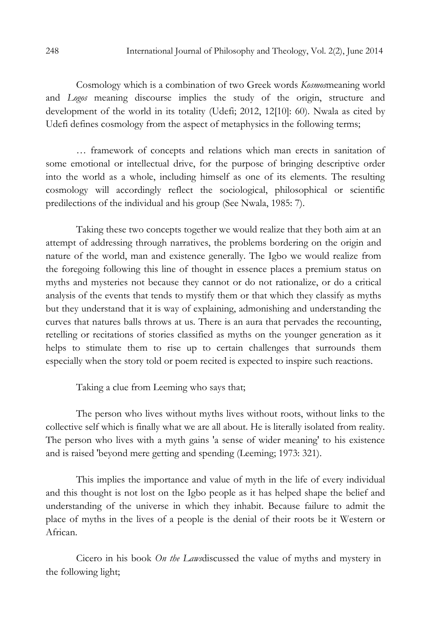Cosmology which is a combination of two Greek words Kosmosmeaning world and Logos meaning discourse implies the study of the origin, structure and development of the world in its totality (Udefi; 2012, 12[10]: 60). Nwala as cited by Udefi defines cosmology from the aspect of metaphysics in the following terms;

… framework of concepts and relations which man erects in sanitation of some emotional or intellectual drive, for the purpose of bringing descriptive order into the world as a whole, including himself as one of its elements. The resulting cosmology will accordingly reflect the sociological, philosophical or scientific predilections of the individual and his group (See Nwala, 1985: 7).

 Taking these two concepts together we would realize that they both aim at an attempt of addressing through narratives, the problems bordering on the origin and nature of the world, man and existence generally. The Igbo we would realize from the foregoing following this line of thought in essence places a premium status on myths and mysteries not because they cannot or do not rationalize, or do a critical analysis of the events that tends to mystify them or that which they classify as myths but they understand that it is way of explaining, admonishing and understanding the curves that natures balls throws at us. There is an aura that pervades the recounting, retelling or recitations of stories classified as myths on the younger generation as it helps to stimulate them to rise up to certain challenges that surrounds them especially when the story told or poem recited is expected to inspire such reactions.

Taking a clue from Leeming who says that;

The person who lives without myths lives without roots, without links to the collective self which is finally what we are all about. He is literally isolated from reality. The person who lives with a myth gains 'a sense of wider meaning' to his existence and is raised 'beyond mere getting and spending (Leeming; 1973: 321).

 This implies the importance and value of myth in the life of every individual and this thought is not lost on the Igbo people as it has helped shape the belief and understanding of the universe in which they inhabit. Because failure to admit the place of myths in the lives of a people is the denial of their roots be it Western or African.

 Cicero in his book On the Lawsdiscussed the value of myths and mystery in the following light;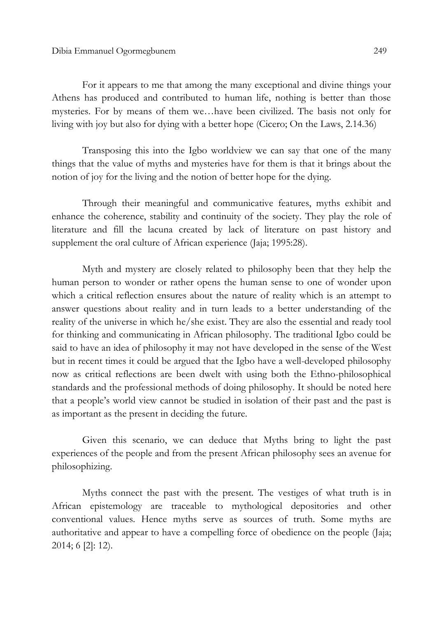For it appears to me that among the many exceptional and divine things your Athens has produced and contributed to human life, nothing is better than those mysteries. For by means of them we…have been civilized. The basis not only for living with joy but also for dying with a better hope (Cicero; On the Laws, 2.14.36)

 Transposing this into the Igbo worldview we can say that one of the many things that the value of myths and mysteries have for them is that it brings about the notion of joy for the living and the notion of better hope for the dying.

 Through their meaningful and communicative features, myths exhibit and enhance the coherence, stability and continuity of the society. They play the role of literature and fill the lacuna created by lack of literature on past history and supplement the oral culture of African experience (Jaja; 1995:28).

Myth and mystery are closely related to philosophy been that they help the human person to wonder or rather opens the human sense to one of wonder upon which a critical reflection ensures about the nature of reality which is an attempt to answer questions about reality and in turn leads to a better understanding of the reality of the universe in which he/she exist. They are also the essential and ready tool for thinking and communicating in African philosophy. The traditional Igbo could be said to have an idea of philosophy it may not have developed in the sense of the West but in recent times it could be argued that the Igbo have a well-developed philosophy now as critical reflections are been dwelt with using both the Ethno-philosophical standards and the professional methods of doing philosophy. It should be noted here that a people's world view cannot be studied in isolation of their past and the past is as important as the present in deciding the future.

Given this scenario, we can deduce that Myths bring to light the past experiences of the people and from the present African philosophy sees an avenue for philosophizing.

Myths connect the past with the present. The vestiges of what truth is in African epistemology are traceable to mythological depositories and other conventional values. Hence myths serve as sources of truth. Some myths are authoritative and appear to have a compelling force of obedience on the people (Jaja; 2014; 6 [2]: 12).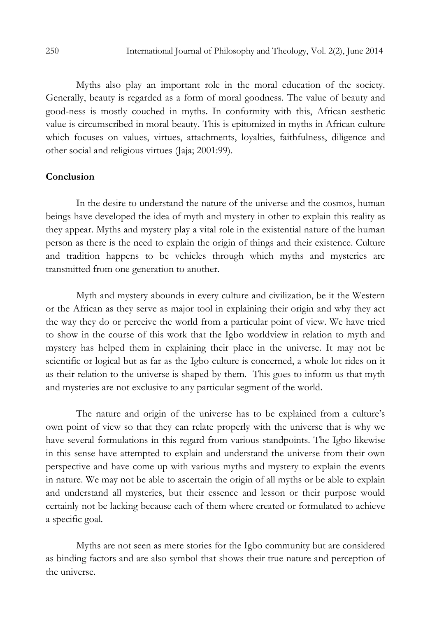Myths also play an important role in the moral education of the society. Generally, beauty is regarded as a form of moral goodness. The value of beauty and good-ness is mostly couched in myths. In conformity with this, African aesthetic value is circumscribed in moral beauty. This is epitomized in myths in African culture which focuses on values, virtues, attachments, loyalties, faithfulness, diligence and other social and religious virtues (Jaja; 2001:99).

#### Conclusion

In the desire to understand the nature of the universe and the cosmos, human beings have developed the idea of myth and mystery in other to explain this reality as they appear. Myths and mystery play a vital role in the existential nature of the human person as there is the need to explain the origin of things and their existence. Culture and tradition happens to be vehicles through which myths and mysteries are transmitted from one generation to another.

Myth and mystery abounds in every culture and civilization, be it the Western or the African as they serve as major tool in explaining their origin and why they act the way they do or perceive the world from a particular point of view. We have tried to show in the course of this work that the Igbo worldview in relation to myth and mystery has helped them in explaining their place in the universe. It may not be scientific or logical but as far as the Igbo culture is concerned, a whole lot rides on it as their relation to the universe is shaped by them. This goes to inform us that myth and mysteries are not exclusive to any particular segment of the world.

The nature and origin of the universe has to be explained from a culture's own point of view so that they can relate properly with the universe that is why we have several formulations in this regard from various standpoints. The Igbo likewise in this sense have attempted to explain and understand the universe from their own perspective and have come up with various myths and mystery to explain the events in nature. We may not be able to ascertain the origin of all myths or be able to explain and understand all mysteries, but their essence and lesson or their purpose would certainly not be lacking because each of them where created or formulated to achieve a specific goal.

Myths are not seen as mere stories for the Igbo community but are considered as binding factors and are also symbol that shows their true nature and perception of the universe.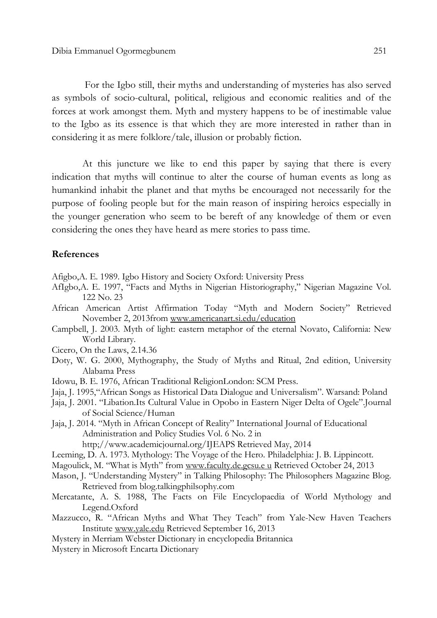For the Igbo still, their myths and understanding of mysteries has also served as symbols of socio-cultural, political, religious and economic realities and of the forces at work amongst them. Myth and mystery happens to be of inestimable value to the Igbo as its essence is that which they are more interested in rather than in considering it as mere folklore/tale, illusion or probably fiction.

At this juncture we like to end this paper by saying that there is every indication that myths will continue to alter the course of human events as long as humankind inhabit the planet and that myths be encouraged not necessarily for the purpose of fooling people but for the main reason of inspiring heroics especially in the younger generation who seem to be bereft of any knowledge of them or even considering the ones they have heard as mere stories to pass time.

#### References

Afigbo,A. E. 1989. Igbo History and Society Oxford: University Press

- AfIgbo,A. E. 1997, "Facts and Myths in Nigerian Historiography," Nigerian Magazine Vol. 122 No. 23
- African American Artist Affirmation Today "Myth and Modern Society" Retrieved November 2, 2013from www.americanart.si.edu/education
- Campbell, J. 2003. Myth of light: eastern metaphor of the eternal Novato, California: New World Library.
- Cicero, On the Laws, 2.14.36
- Doty, W. G. 2000, Mythography, the Study of Myths and Ritual, 2nd edition, University Alabama Press
- Idowu, B. E. 1976, African Traditional ReligionLondon: SCM Press.
- Jaja, J. 1995,"African Songs as Historical Data Dialogue and Universalism". Warsand: Poland
- Jaja, J. 2001. "Libation.Its Cultural Value in Opobo in Eastern Niger Delta of Ogele".Journal of Social Science/Human
- Jaja, J. 2014. "Myth in African Concept of Reality" International Journal of Educational Administration and Policy Studies Vol. 6 No. 2 in

http;//www.academicjournal.org/IJEAPS Retrieved May, 2014

- Leeming, D. A. 1973. Mythology: The Voyage of the Hero. Philadelphia: J. B. Lippincott.
- Magoulick, M. "What is Myth" from www.faculty.de.gcsu.e u Retrieved October 24, 2013
- Mason, J. "Understanding Mystery" in Talking Philosophy: The Philosophers Magazine Blog. Retrieved from blog.talkingphilsophy.com
- Mercatante, A. S. 1988, The Facts on File Encyclopaedia of World Mythology and Legend.Oxford
- Mazzucco, R. "African Myths and What They Teach" from Yale-New Haven Teachers Institute www.yale.edu Retrieved September 16, 2013
- Mystery in Merriam Webster Dictionary in encyclopedia Britannica
- Mystery in Microsoft Encarta Dictionary